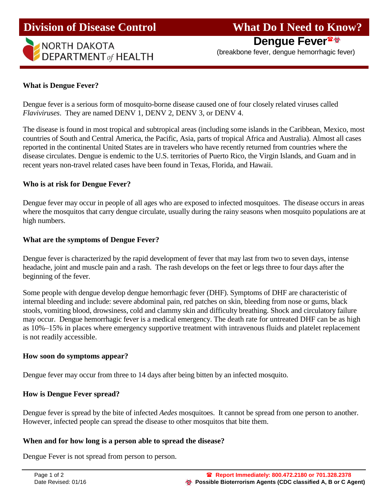# **Division of Disease Control What Do I Need to Know?**



**Dengue Fever**

(breakbone fever, dengue hemorrhagic fever)

# **What is Dengue Fever?**

Ī

Dengue fever is a serious form of mosquito-borne disease caused one of four closely related viruses called *Flaviviruses*. They are named DENV 1, DENV 2, DENV 3, or DENV 4.

The disease is found in most tropical and subtropical areas (including some islands in the Caribbean, Mexico, most countries of South and Central America, the Pacific, Asia, parts of tropical Africa and Australia). Almost all cases reported in the continental United States are in travelers who have recently returned from countries where the disease circulates. Dengue is endemic to the U.S. territories of Puerto Rico, the Virgin Islands, and Guam and in recent years non-travel related cases have been found in Texas, Florida, and Hawaii.

#### **Who is at risk for Dengue Fever?**

Dengue fever may occur in people of all ages who are exposed to infected mosquitoes. The disease occurs in areas where the mosquitos that carry dengue circulate, usually during the rainy seasons when mosquito populations are at high numbers.

#### **What are the symptoms of Dengue Fever?**

Dengue fever is characterized by the rapid development of fever that may last from two to seven days, intense headache, joint and muscle pain and a rash. The rash develops on the feet or legs three to four days after the beginning of the fever.

Some people with dengue develop dengue hemorrhagic fever (DHF). Symptoms of DHF are characteristic of internal bleeding and include: severe abdominal pain, red patches on skin, bleeding from nose or gums, black stools, vomiting blood, drowsiness, cold and clammy skin and difficulty breathing. Shock and circulatory failure may occur. Dengue hemorrhagic fever is a medical emergency. The death rate for untreated DHF can be as high as 10%–15% in places where emergency supportive treatment with intravenous fluids and platelet replacement is not readily accessible.

#### **How soon do symptoms appear?**

Dengue fever may occur from three to 14 days after being bitten by an infected mosquito.

# **How is Dengue Fever spread?**

Dengue fever is spread by the bite of infected *Aedes* mosquitoes. It cannot be spread from one person to another. However, infected people can spread the disease to other mosquitos that bite them.

#### **When and for how long is a person able to spread the disease?**

Dengue Fever is not spread from person to person.